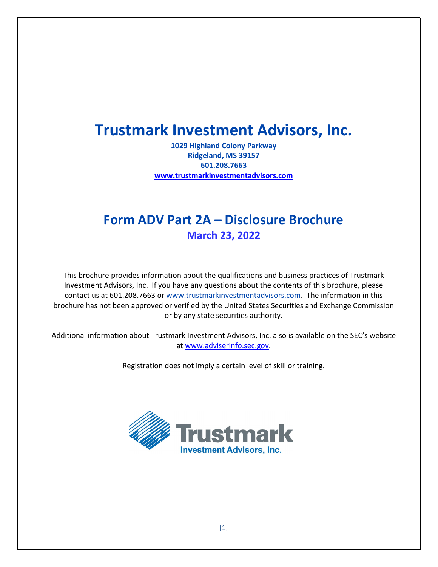# **Trustmark Investment Advisors, Inc.**

**1029 Highland Colony Parkway Ridgeland, MS 39157 601.208.7663 [www.trustmarkinvestmentadvisors.com](http://www.trustmarkinvestmentadvisors.com/)**

# **Form ADV Part 2A – Disclosure Brochure March 23, 2022**

This brochure provides information about the qualifications and business practices of Trustmark Investment Advisors, Inc. If you have any questions about the contents of this brochure, please contact us at 601.208.7663 or www.trustmarkinvestmentadvisors.com. The information in this brochure has not been approved or verified by the United States Securities and Exchange Commission or by any state securities authority.

Additional information about Trustmark Investment Advisors, Inc. also is available on the SEC's website at [www.adviserinfo.sec.gov.](http://www.adviserinfo.sec.gov/)

Registration does not imply a certain level of skill or training.

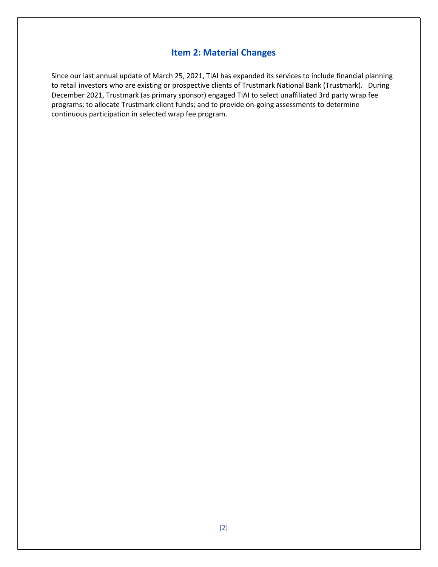# **Item 2: Material Changes**

Since our last annual update of March 25, 2021, TIAI has expanded its services to include financial planning to retail investors who are existing or prospective clients of Trustmark National Bank (Trustmark). During December 2021, Trustmark (as primary sponsor) engaged TIAI to select unaffiliated 3rd party wrap fee programs; to allocate Trustmark client funds; and to provide on-going assessments to determine continuous participation in selected wrap fee program.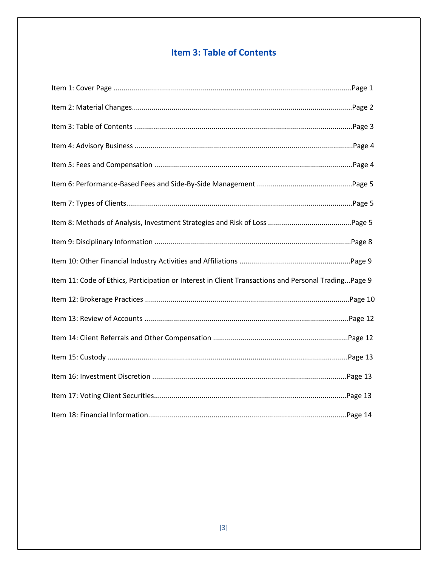# **Item 3: Table of Contents**

| Item 11: Code of Ethics, Participation or Interest in Client Transactions and Personal TradingPage 9 |  |
|------------------------------------------------------------------------------------------------------|--|
|                                                                                                      |  |
|                                                                                                      |  |
|                                                                                                      |  |
|                                                                                                      |  |
|                                                                                                      |  |
|                                                                                                      |  |
|                                                                                                      |  |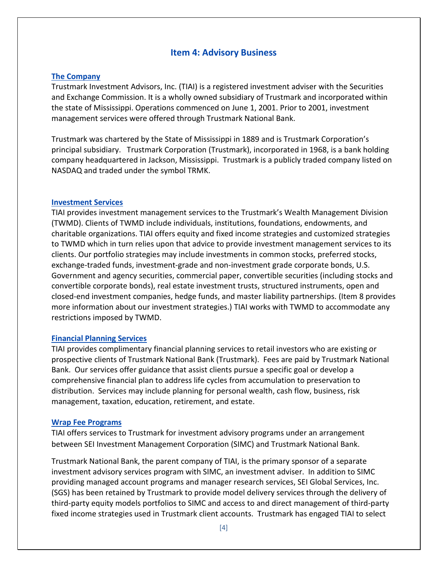#### **Item 4: Advisory Business**

#### **The Company**

Trustmark Investment Advisors, Inc. (TIAI) is a registered investment adviser with the Securities and Exchange Commission. It is a wholly owned subsidiary of Trustmark and incorporated within the state of Mississippi. Operations commenced on June 1, 2001. Prior to 2001, investment management services were offered through Trustmark National Bank.

Trustmark was chartered by the State of Mississippi in 1889 and is Trustmark Corporation's principal subsidiary. Trustmark Corporation (Trustmark), incorporated in 1968, is a bank holding company headquartered in Jackson, Mississippi. Trustmark is a publicly traded company listed on NASDAQ and traded under the symbol TRMK.

#### **Investment Services**

TIAI provides investment management services to the Trustmark's Wealth Management Division (TWMD). Clients of TWMD include individuals, institutions, foundations, endowments, and charitable organizations. TIAI offers equity and fixed income strategies and customized strategies to TWMD which in turn relies upon that advice to provide investment management services to its clients. Our portfolio strategies may include investments in common stocks, preferred stocks, exchange-traded funds, investment-grade and non-investment grade corporate bonds, U.S. Government and agency securities, commercial paper, convertible securities (including stocks and convertible corporate bonds), real estate investment trusts, structured instruments, open and closed-end investment companies, hedge funds, and master liability partnerships. (Item 8 provides more information about our investment strategies.) TIAI works with TWMD to accommodate any restrictions imposed by TWMD.

#### **Financial Planning Services**

TIAI provides complimentary financial planning services to retail investors who are existing or prospective clients of Trustmark National Bank (Trustmark). Fees are paid by Trustmark National Bank. Our services offer guidance that assist clients pursue a specific goal or develop a comprehensive financial plan to address life cycles from accumulation to preservation to distribution. Services may include planning for personal wealth, cash flow, business, risk management, taxation, education, retirement, and estate.

#### **Wrap Fee Programs**

TIAI offers services to Trustmark for investment advisory programs under an arrangement between SEI Investment Management Corporation (SIMC) and Trustmark National Bank.

Trustmark National Bank, the parent company of TIAI, is the primary sponsor of a separate investment advisory services program with SIMC, an investment adviser. In addition to SIMC providing managed account programs and manager research services, SEI Global Services, Inc. (SGS) has been retained by Trustmark to provide model delivery services through the delivery of third-party equity models portfolios to SIMC and access to and direct management of third-party fixed income strategies used in Trustmark client accounts. Trustmark has engaged TIAI to select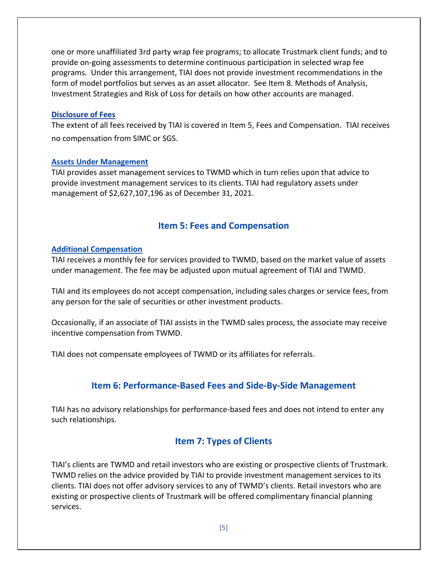one or more unaffiliated 3rd party wrap fee programs; to allocate Trustmark client funds; and to provide on-going assessments to determine continuous participation in selected wrap fee programs. Under this arrangement, TIAI does not provide investment recommendations in the form of model portfolios but serves as an asset allocator. See Item 8. Methods of Analysis, Investment Strategies and Risk of Loss for details on how other accounts are managed.

#### **Disclosure of Fees**

The extent of all fees received by TIAI is covered in Item 5, Fees and Compensation. TIAI receives no compensation from SIMC or SGS.

#### **Assets Under Management**

TIAI provides asset management services to TWMD which in turn relies upon that advice to provide investment management services to its clients. TIAI had regulatory assets under management of \$2,627,107,196 as of December 31, 2021.

# **Item 5: Fees and Compensation**

#### **Additional Compensation**

TIAI receives a monthly fee for services provided to TWMD, based on the market value of assets under management. The fee may be adjusted upon mutual agreement of TIAI and TWMD.

TIAI and its employees do not accept compensation, including sales charges or service fees, from any person for the sale of securities or other investment products.

Occasionally, if an associate of TIAI assists in the TWMD sales process, the associate may receive incentive compensation from TWMD.

TIAI does not compensate employees of TWMD or its affiliates for referrals.

# **Item 6: Performance-Based Fees and Side-By-Side Management**

TIAI has no advisory relationships for performance-based fees and does not intend to enter any such relationships.

# **Item 7: Types of Clients**

TIAI's clients are TWMD and retail investors who are existing or prospective clients of Trustmark. TWMD relies on the advice provided by TIAI to provide investment management services to its clients. TIAI does not offer advisory services to any of TWMD's clients. Retail investors who are existing or prospective clients of Trustmark will be offered complimentary financial planning services.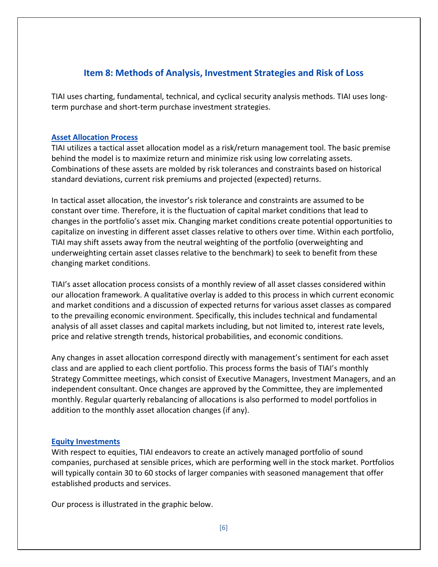# **Item 8: Methods of Analysis, Investment Strategies and Risk of Loss**

TIAI uses charting, fundamental, technical, and cyclical security analysis methods. TIAI uses longterm purchase and short-term purchase investment strategies.

#### **Asset Allocation Process**

TIAI utilizes a tactical asset allocation model as a risk/return management tool. The basic premise behind the model is to maximize return and minimize risk using low correlating assets. Combinations of these assets are molded by risk tolerances and constraints based on historical standard deviations, current risk premiums and projected (expected) returns.

In tactical asset allocation, the investor's risk tolerance and constraints are assumed to be constant over time. Therefore, it is the fluctuation of capital market conditions that lead to changes in the portfolio's asset mix. Changing market conditions create potential opportunities to capitalize on investing in different asset classes relative to others over time. Within each portfolio, TIAI may shift assets away from the neutral weighting of the portfolio (overweighting and underweighting certain asset classes relative to the benchmark) to seek to benefit from these changing market conditions.

TIAI's asset allocation process consists of a monthly review of all asset classes considered within our allocation framework. A qualitative overlay is added to this process in which current economic and market conditions and a discussion of expected returns for various asset classes as compared to the prevailing economic environment. Specifically, this includes technical and fundamental analysis of all asset classes and capital markets including, but not limited to, interest rate levels, price and relative strength trends, historical probabilities, and economic conditions.

Any changes in asset allocation correspond directly with management's sentiment for each asset class and are applied to each client portfolio. This process forms the basis of TIAI's monthly Strategy Committee meetings, which consist of Executive Managers, Investment Managers, and an independent consultant. Once changes are approved by the Committee, they are implemented monthly. Regular quarterly rebalancing of allocations is also performed to model portfolios in addition to the monthly asset allocation changes (if any).

#### **Equity Investments**

With respect to equities, TIAI endeavors to create an actively managed portfolio of sound companies, purchased at sensible prices, which are performing well in the stock market. Portfolios will typically contain 30 to 60 stocks of larger companies with seasoned management that offer established products and services.

Our process is illustrated in the graphic below.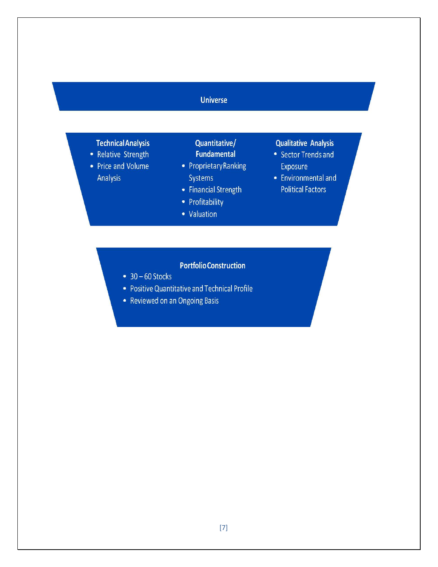# $\mathsf{S}_{\mathsf{S}}$  sector Trends and  $\mathsf{S}_{\mathsf{S}}$  and  $\mathsf{S}_{\mathsf{S}}$  and  $\mathsf{S}_{\mathsf{S}}$  and  $\mathsf{S}_{\mathsf{S}}$

# **Technical Analysis**

Financial Strength Profitability Valuation

**Qualitative Analysis** 

**Portfolio Construction** 

- Relative Strength
- Price and Volume **Analysis**

Quantitative/ **Fundamental** 

- Proprietary Ranking Systems
- Financial Strength
- Profitability
- Valuation

## **Qualitative Analysis**

- Sector Trends and Exposure
- Environmental and **Political Factors**

# **Portfolio Construction**

- $\bullet$  30 60 Stocks
- Positive Quantitative and Technical Profile
- Reviewed on an Ongoing Basis

Positive Quantitative and Technical Profile Reviewed on an Ongoing Basis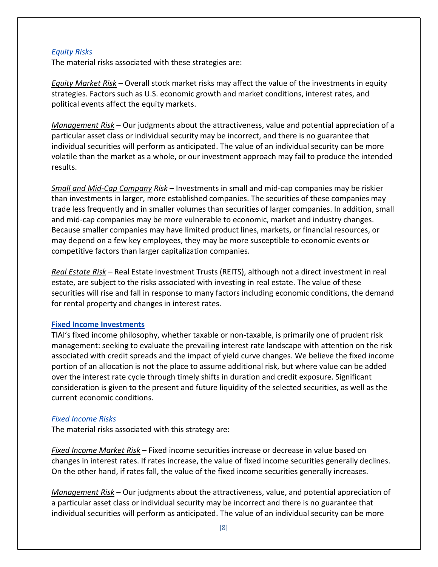#### *Equity Risks*

The material risks associated with these strategies are:

*Equity Market Risk* – Overall stock market risks may affect the value of the investments in equity strategies. Factors such as U.S. economic growth and market conditions, interest rates, and political events affect the equity markets.

*Management Risk* – Our judgments about the attractiveness, value and potential appreciation of a particular asset class or individual security may be incorrect, and there is no guarantee that individual securities will perform as anticipated. The value of an individual security can be more volatile than the market as a whole, or our investment approach may fail to produce the intended results.

*Small and Mid-Cap Company Risk* – Investments in small and mid-cap companies may be riskier than investments in larger, more established companies. The securities of these companies may trade less frequently and in smaller volumes than securities of larger companies. In addition, small and mid-cap companies may be more vulnerable to economic, market and industry changes. Because smaller companies may have limited product lines, markets, or financial resources, or may depend on a few key employees, they may be more susceptible to economic events or competitive factors than larger capitalization companies.

*Real Estate Risk* – Real Estate Investment Trusts (REITS), although not a direct investment in real estate, are subject to the risks associated with investing in real estate. The value of these securities will rise and fall in response to many factors including economic conditions, the demand for rental property and changes in interest rates.

#### **Fixed Income Investments**

TIAI's fixed income philosophy, whether taxable or non-taxable, is primarily one of prudent risk management: seeking to evaluate the prevailing interest rate landscape with attention on the risk associated with credit spreads and the impact of yield curve changes. We believe the fixed income portion of an allocation is not the place to assume additional risk, but where value can be added over the interest rate cycle through timely shifts in duration and credit exposure. Significant consideration is given to the present and future liquidity of the selected securities, as well as the current economic conditions.

#### *Fixed Income Risks*

The material risks associated with this strategy are:

*Fixed Income Market Risk* – Fixed income securities increase or decrease in value based on changes in interest rates. If rates increase, the value of fixed income securities generally declines. On the other hand, if rates fall, the value of the fixed income securities generally increases.

*Management Risk* – Our judgments about the attractiveness, value, and potential appreciation of a particular asset class or individual security may be incorrect and there is no guarantee that individual securities will perform as anticipated. The value of an individual security can be more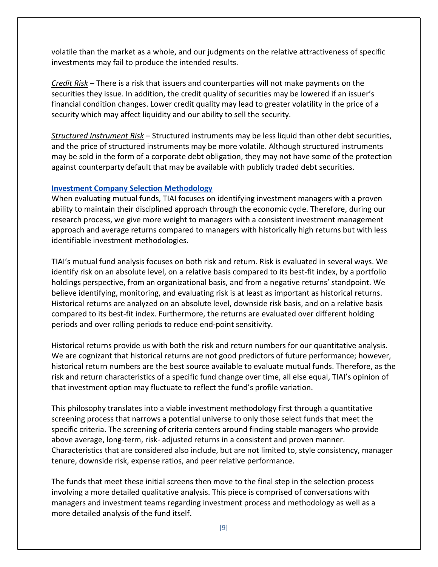volatile than the market as a whole, and our judgments on the relative attractiveness of specific investments may fail to produce the intended results.

*Credit Risk* – There is a risk that issuers and counterparties will not make payments on the securities they issue. In addition, the credit quality of securities may be lowered if an issuer's financial condition changes. Lower credit quality may lead to greater volatility in the price of a security which may affect liquidity and our ability to sell the security.

*Structured Instrument Risk* – Structured instruments may be less liquid than other debt securities, and the price of structured instruments may be more volatile. Although structured instruments may be sold in the form of a corporate debt obligation, they may not have some of the protection against counterparty default that may be available with publicly traded debt securities.

#### **Investment Company Selection Methodology**

When evaluating mutual funds, TIAI focuses on identifying investment managers with a proven ability to maintain their disciplined approach through the economic cycle. Therefore, during our research process, we give more weight to managers with a consistent investment management approach and average returns compared to managers with historically high returns but with less identifiable investment methodologies.

TIAI's mutual fund analysis focuses on both risk and return. Risk is evaluated in several ways. We identify risk on an absolute level, on a relative basis compared to its best-fit index, by a portfolio holdings perspective, from an organizational basis, and from a negative returns' standpoint. We believe identifying, monitoring, and evaluating risk is at least as important as historical returns. Historical returns are analyzed on an absolute level, downside risk basis, and on a relative basis compared to its best-fit index. Furthermore, the returns are evaluated over different holding periods and over rolling periods to reduce end-point sensitivity.

Historical returns provide us with both the risk and return numbers for our quantitative analysis. We are cognizant that historical returns are not good predictors of future performance; however, historical return numbers are the best source available to evaluate mutual funds. Therefore, as the risk and return characteristics of a specific fund change over time, all else equal, TIAI's opinion of that investment option may fluctuate to reflect the fund's profile variation.

This philosophy translates into a viable investment methodology first through a quantitative screening process that narrows a potential universe to only those select funds that meet the specific criteria. The screening of criteria centers around finding stable managers who provide above average, long-term, risk- adjusted returns in a consistent and proven manner. Characteristics that are considered also include, but are not limited to, style consistency, manager tenure, downside risk, expense ratios, and peer relative performance.

The funds that meet these initial screens then move to the final step in the selection process involving a more detailed qualitative analysis. This piece is comprised of conversations with managers and investment teams regarding investment process and methodology as well as a more detailed analysis of the fund itself.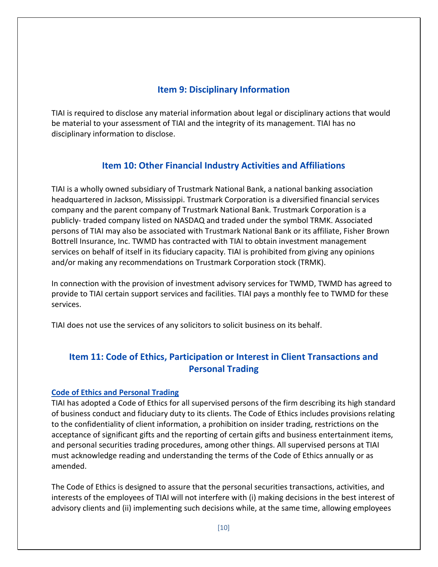# **Item 9: Disciplinary Information**

TIAI is required to disclose any material information about legal or disciplinary actions that would be material to your assessment of TIAI and the integrity of its management. TIAI has no disciplinary information to disclose.

# **Item 10: Other Financial Industry Activities and Affiliations**

TIAI is a wholly owned subsidiary of Trustmark National Bank, a national banking association headquartered in Jackson, Mississippi. Trustmark Corporation is a diversified financial services company and the parent company of Trustmark National Bank. Trustmark Corporation is a publicly- traded company listed on NASDAQ and traded under the symbol TRMK. Associated persons of TIAI may also be associated with Trustmark National Bank or its affiliate, Fisher Brown Bottrell Insurance, Inc. TWMD has contracted with TIAI to obtain investment management services on behalf of itself in its fiduciary capacity. TIAI is prohibited from giving any opinions and/or making any recommendations on Trustmark Corporation stock (TRMK).

In connection with the provision of investment advisory services for TWMD, TWMD has agreed to provide to TIAI certain support services and facilities. TIAI pays a monthly fee to TWMD for these services.

TIAI does not use the services of any solicitors to solicit business on its behalf.

# **Item 11: Code of Ethics, Participation or Interest in Client Transactions and Personal Trading**

### **Code of Ethics and Personal Trading**

TIAI has adopted a Code of Ethics for all supervised persons of the firm describing its high standard of business conduct and fiduciary duty to its clients. The Code of Ethics includes provisions relating to the confidentiality of client information, a prohibition on insider trading, restrictions on the acceptance of significant gifts and the reporting of certain gifts and business entertainment items, and personal securities trading procedures, among other things. All supervised persons at TIAI must acknowledge reading and understanding the terms of the Code of Ethics annually or as amended.

The Code of Ethics is designed to assure that the personal securities transactions, activities, and interests of the employees of TIAI will not interfere with (i) making decisions in the best interest of advisory clients and (ii) implementing such decisions while, at the same time, allowing employees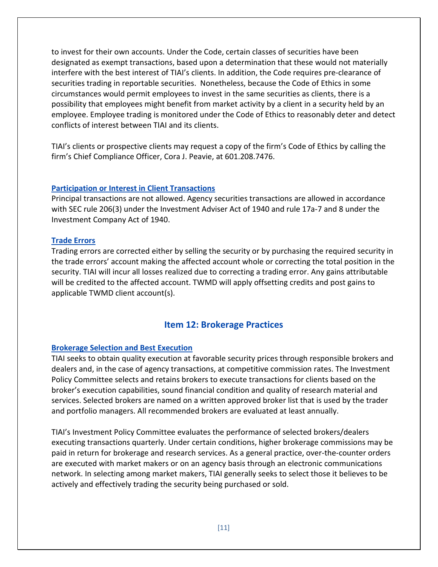to invest for their own accounts. Under the Code, certain classes of securities have been designated as exempt transactions, based upon a determination that these would not materially interfere with the best interest of TIAI's clients. In addition, the Code requires pre-clearance of securities trading in reportable securities. Nonetheless, because the Code of Ethics in some circumstances would permit employees to invest in the same securities as clients, there is a possibility that employees might benefit from market activity by a client in a security held by an employee. Employee trading is monitored under the Code of Ethics to reasonably deter and detect conflicts of interest between TIAI and its clients.

TIAI's clients or prospective clients may request a copy of the firm's Code of Ethics by calling the firm's Chief Compliance Officer, Cora J. Peavie, at 601.208.7476.

#### **Participation or Interest in Client Transactions**

Principal transactions are not allowed. Agency securities transactions are allowed in accordance with SEC rule 206(3) under the Investment Adviser Act of 1940 and rule 17a-7 and 8 under the Investment Company Act of 1940.

#### **Trade Errors**

Trading errors are corrected either by selling the security or by purchasing the required security in the trade errors' account making the affected account whole or correcting the total position in the security. TIAI will incur all losses realized due to correcting a trading error. Any gains attributable will be credited to the affected account. TWMD will apply offsetting credits and post gains to applicable TWMD client account(s).

### **Item 12: Brokerage Practices**

#### **Brokerage Selection and Best Execution**

TIAI seeks to obtain quality execution at favorable security prices through responsible brokers and dealers and, in the case of agency transactions, at competitive commission rates. The Investment Policy Committee selects and retains brokers to execute transactions for clients based on the broker's execution capabilities, sound financial condition and quality of research material and services. Selected brokers are named on a written approved broker list that is used by the trader and portfolio managers. All recommended brokers are evaluated at least annually.

TIAI's Investment Policy Committee evaluates the performance of selected brokers/dealers executing transactions quarterly. Under certain conditions, higher brokerage commissions may be paid in return for brokerage and research services. As a general practice, over-the-counter orders are executed with market makers or on an agency basis through an electronic communications network. In selecting among market makers, TIAI generally seeks to select those it believes to be actively and effectively trading the security being purchased or sold.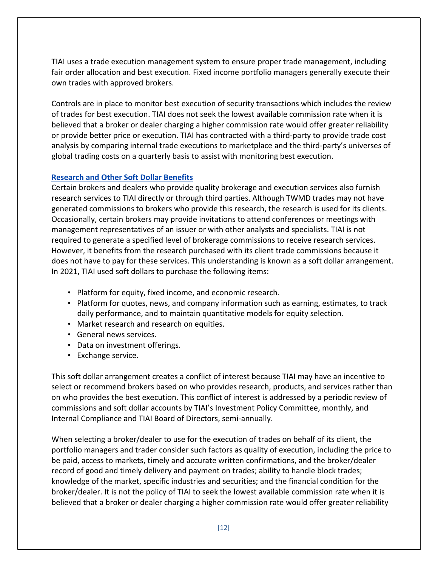TIAI uses a trade execution management system to ensure proper trade management, including fair order allocation and best execution. Fixed income portfolio managers generally execute their own trades with approved brokers.

Controls are in place to monitor best execution of security transactions which includes the review of trades for best execution. TIAI does not seek the lowest available commission rate when it is believed that a broker or dealer charging a higher commission rate would offer greater reliability or provide better price or execution. TIAI has contracted with a third-party to provide trade cost analysis by comparing internal trade executions to marketplace and the third-party's universes of global trading costs on a quarterly basis to assist with monitoring best execution.

### **Research and Other Soft Dollar Benefits**

Certain brokers and dealers who provide quality brokerage and execution services also furnish research services to TIAI directly or through third parties. Although TWMD trades may not have generated commissions to brokers who provide this research, the research is used for its clients. Occasionally, certain brokers may provide invitations to attend conferences or meetings with management representatives of an issuer or with other analysts and specialists. TIAI is not required to generate a specified level of brokerage commissions to receive research services. However, it benefits from the research purchased with its client trade commissions because it does not have to pay for these services. This understanding is known as a soft dollar arrangement. In 2021, TIAI used soft dollars to purchase the following items:

- Platform for equity, fixed income, and economic research.
- Platform for quotes, news, and company information such as earning, estimates, to track daily performance, and to maintain quantitative models for equity selection.
- Market research and research on equities.
- General news services.
- Data on investment offerings.
- Exchange service.

This soft dollar arrangement creates a conflict of interest because TIAI may have an incentive to select or recommend brokers based on who provides research, products, and services rather than on who provides the best execution. This conflict of interest is addressed by a periodic review of commissions and soft dollar accounts by TIAI's Investment Policy Committee, monthly, and Internal Compliance and TIAI Board of Directors, semi-annually.

When selecting a broker/dealer to use for the execution of trades on behalf of its client, the portfolio managers and trader consider such factors as quality of execution, including the price to be paid, access to markets, timely and accurate written confirmations, and the broker/dealer record of good and timely delivery and payment on trades; ability to handle block trades; knowledge of the market, specific industries and securities; and the financial condition for the broker/dealer. It is not the policy of TIAI to seek the lowest available commission rate when it is believed that a broker or dealer charging a higher commission rate would offer greater reliability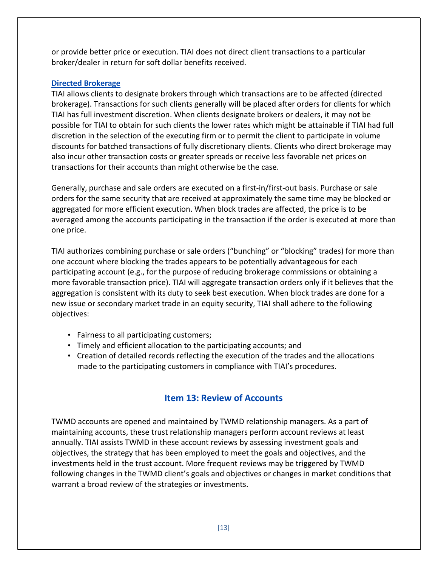or provide better price or execution. TIAI does not direct client transactions to a particular broker/dealer in return for soft dollar benefits received.

#### **Directed Brokerage**

TIAI allows clients to designate brokers through which transactions are to be affected (directed brokerage). Transactions for such clients generally will be placed after orders for clients for which TIAI has full investment discretion. When clients designate brokers or dealers, it may not be possible for TIAI to obtain for such clients the lower rates which might be attainable if TIAI had full discretion in the selection of the executing firm or to permit the client to participate in volume discounts for batched transactions of fully discretionary clients. Clients who direct brokerage may also incur other transaction costs or greater spreads or receive less favorable net prices on transactions for their accounts than might otherwise be the case.

Generally, purchase and sale orders are executed on a first-in/first-out basis. Purchase or sale orders for the same security that are received at approximately the same time may be blocked or aggregated for more efficient execution. When block trades are affected, the price is to be averaged among the accounts participating in the transaction if the order is executed at more than one price.

TIAI authorizes combining purchase or sale orders ("bunching" or "blocking" trades) for more than one account where blocking the trades appears to be potentially advantageous for each participating account (e.g., for the purpose of reducing brokerage commissions or obtaining a more favorable transaction price). TIAI will aggregate transaction orders only if it believes that the aggregation is consistent with its duty to seek best execution. When block trades are done for a new issue or secondary market trade in an equity security, TIAI shall adhere to the following objectives:

- Fairness to all participating customers;
- Timely and efficient allocation to the participating accounts; and
- Creation of detailed records reflecting the execution of the trades and the allocations made to the participating customers in compliance with TIAI's procedures.

# **Item 13: Review of Accounts**

TWMD accounts are opened and maintained by TWMD relationship managers. As a part of maintaining accounts, these trust relationship managers perform account reviews at least annually. TIAI assists TWMD in these account reviews by assessing investment goals and objectives, the strategy that has been employed to meet the goals and objectives, and the investments held in the trust account. More frequent reviews may be triggered by TWMD following changes in the TWMD client's goals and objectives or changes in market conditions that warrant a broad review of the strategies or investments.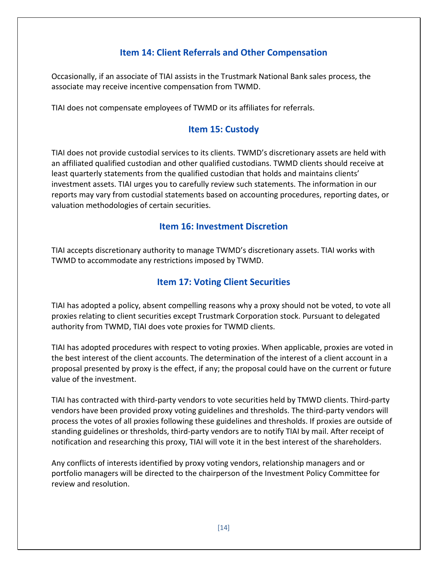# **Item 14: Client Referrals and Other Compensation**

Occasionally, if an associate of TIAI assists in the Trustmark National Bank sales process, the associate may receive incentive compensation from TWMD.

TIAI does not compensate employees of TWMD or its affiliates for referrals.

# **Item 15: Custody**

TIAI does not provide custodial services to its clients. TWMD's discretionary assets are held with an affiliated qualified custodian and other qualified custodians. TWMD clients should receive at least quarterly statements from the qualified custodian that holds and maintains clients' investment assets. TIAI urges you to carefully review such statements. The information in our reports may vary from custodial statements based on accounting procedures, reporting dates, or valuation methodologies of certain securities.

## **Item 16: Investment Discretion**

TIAI accepts discretionary authority to manage TWMD's discretionary assets. TIAI works with TWMD to accommodate any restrictions imposed by TWMD.

# **Item 17: Voting Client Securities**

TIAI has adopted a policy, absent compelling reasons why a proxy should not be voted, to vote all proxies relating to client securities except Trustmark Corporation stock. Pursuant to delegated authority from TWMD, TIAI does vote proxies for TWMD clients.

TIAI has adopted procedures with respect to voting proxies. When applicable, proxies are voted in the best interest of the client accounts. The determination of the interest of a client account in a proposal presented by proxy is the effect, if any; the proposal could have on the current or future value of the investment.

TIAI has contracted with third-party vendors to vote securities held by TMWD clients. Third-party vendors have been provided proxy voting guidelines and thresholds. The third-party vendors will process the votes of all proxies following these guidelines and thresholds. If proxies are outside of standing guidelines or thresholds, third-party vendors are to notify TIAI by mail. After receipt of notification and researching this proxy, TIAI will vote it in the best interest of the shareholders.

Any conflicts of interests identified by proxy voting vendors, relationship managers and or portfolio managers will be directed to the chairperson of the Investment Policy Committee for review and resolution.